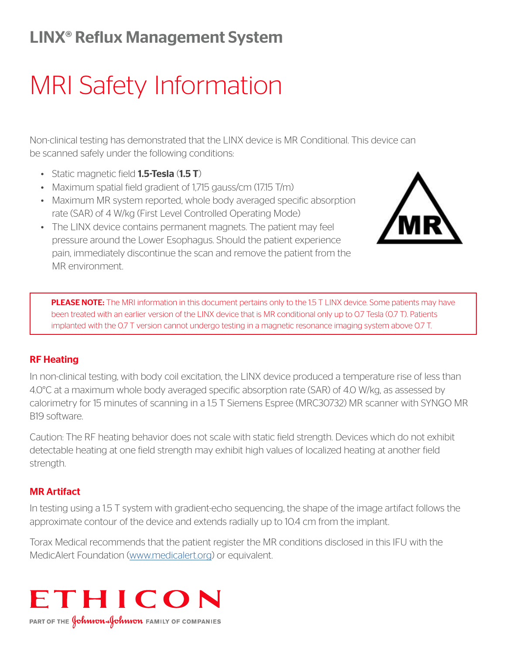## LINX® Reflux Management System

# MRI Safety Information

Non-clinical testing has demonstrated that the LINX device is MR Conditional. This device can be scanned safely under the following conditions:

- Static magnetic field **1.5-Tesla (1.5 T)**
- Maximum spatial field gradient of 1,715 gauss/cm (17.15 T/m)
- Maximum MR system reported, whole body averaged specific absorption rate (SAR) of 4 W/kg (First Level Controlled Operating Mode)
- The LINX device contains permanent magnets. The patient may feel pressure around the Lower Esophagus. Should the patient experience pain, immediately discontinue the scan and remove the patient from the MR environment.



PLEASE NOTE: The MRI information in this document pertains only to the 1.5 T LINX device. Some patients may have been treated with an earlier version of the LINX device that is MR conditional only up to 0.7 Tesla (0.7 T). Patients implanted with the 0.7 T version cannot undergo testing in a magnetic resonance imaging system above 0.7 T.

### RF Heating

In non-clinical testing, with body coil excitation, the LINX device produced a temperature rise of less than 4.0°C at a maximum whole body averaged specific absorption rate (SAR) of 4.0 W/kg, as assessed by calorimetry for 15 minutes of scanning in a 1.5 T Siemens Espree (MRC30732) MR scanner with SYNGO MR B19 software.

Caution: The RF heating behavior does not scale with static field strength. Devices which do not exhibit detectable heating at one field strength may exhibit high values of localized heating at another field strength.

### MR Artifact

In testing using a 1.5 T system with gradient-echo sequencing, the shape of the image artifact follows the approximate contour of the device and extends radially up to 10.4 cm from the implant.

Torax Medical recommends that the patient register the MR conditions disclosed in this IFU with the MedicAlert Foundation ([www.medicalert.org](http://www.medicalert.org)) or equivalent.